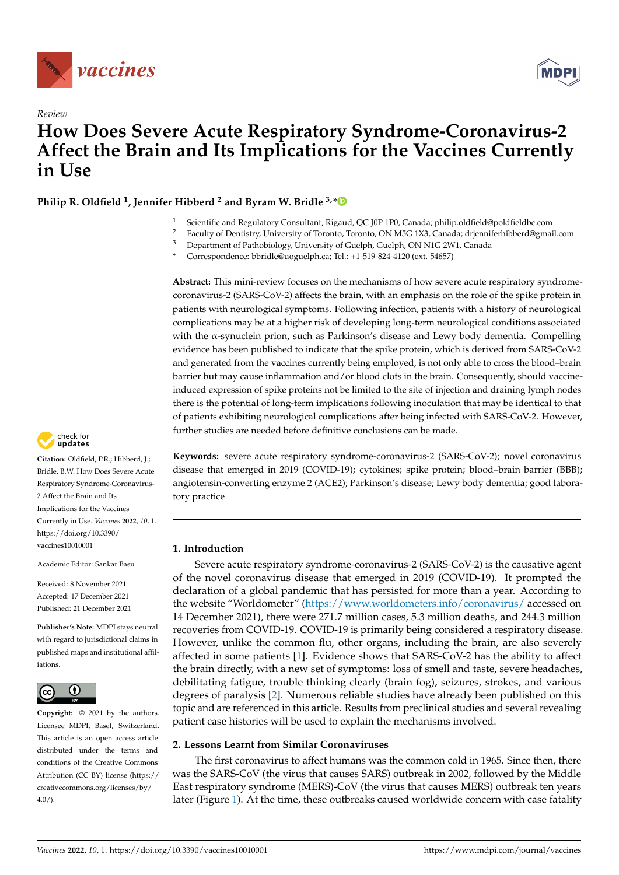



# *Review* **How Does Severe Acute Respiratory Syndrome-Coronavirus-2 Affect the Brain and Its Implications for the Vaccines Currently in Use**

**Philip R. Oldfield <sup>1</sup> , Jennifer Hibberd <sup>2</sup> and Byram W. Bridle 3,[\\*](https://orcid.org/0000-0002-8335-1118)**

- 1 Scientific and Regulatory Consultant, Rigaud, QC J0P 1P0, Canada; philip.oldfield@poldfieldbc.com<br>2 Events of Dentistry University of Tenents, Tenents, ON MEG 1Y2, Canada, bijumi(sabilikand@posi
- <sup>2</sup> Faculty of Dentistry, University of Toronto, Toronto, ON M5G 1X3, Canada; drjenniferhibberd@gmail.com<sup>3</sup> Denertment of Patholicless: University of Cycleb, Cycleb, ON N1C 2W1, Canada
	- <sup>3</sup> Department of Pathobiology, University of Guelph, Guelph, ON N1G 2W1, Canada
	- **\*** Correspondence: bbridle@uoguelph.ca; Tel.: +1-519-824-4120 (ext. 54657)

**Abstract:** This mini-review focuses on the mechanisms of how severe acute respiratory syndromecoronavirus-2 (SARS-CoV-2) affects the brain, with an emphasis on the role of the spike protein in patients with neurological symptoms. Following infection, patients with a history of neurological complications may be at a higher risk of developing long-term neurological conditions associated with the α-synuclein prion, such as Parkinson's disease and Lewy body dementia. Compelling evidence has been published to indicate that the spike protein, which is derived from SARS-CoV-2 and generated from the vaccines currently being employed, is not only able to cross the blood–brain barrier but may cause inflammation and/or blood clots in the brain. Consequently, should vaccineinduced expression of spike proteins not be limited to the site of injection and draining lymph nodes there is the potential of long-term implications following inoculation that may be identical to that of patients exhibiting neurological complications after being infected with SARS-CoV-2. However, further studies are needed before definitive conclusions can be made.



**Citation:** Oldfield, P.R.; Hibberd, J.; Bridle, B.W. How Does Severe Acute Respiratory Syndrome-Coronavirus-2 Affect the Brain and Its Implications for the Vaccines Currently in Use. *Vaccines* **2022**, *10*, 1. [https://doi.org/10.3390/](https://doi.org/10.3390/vaccines10010001) [vaccines10010001](https://doi.org/10.3390/vaccines10010001)

Academic Editor: Sankar Basu

Received: 8 November 2021 Accepted: 17 December 2021 Published: 21 December 2021

**Publisher's Note:** MDPI stays neutral with regard to jurisdictional claims in published maps and institutional affiliations.



**Copyright:** © 2021 by the authors. Licensee MDPI, Basel, Switzerland. This article is an open access article distributed under the terms and conditions of the Creative Commons Attribution (CC BY) license [\(https://](https://creativecommons.org/licenses/by/4.0/) [creativecommons.org/licenses/by/](https://creativecommons.org/licenses/by/4.0/)  $4.0/$ ).

**Keywords:** severe acute respiratory syndrome-coronavirus-2 (SARS-CoV-2); novel coronavirus disease that emerged in 2019 (COVID-19); cytokines; spike protein; blood–brain barrier (BBB); angiotensin-converting enzyme 2 (ACE2); Parkinson's disease; Lewy body dementia; good laboratory practice

# **1. Introduction**

Severe acute respiratory syndrome-coronavirus-2 (SARS-CoV-2) is the causative agent of the novel coronavirus disease that emerged in 2019 (COVID-19). It prompted the declaration of a global pandemic that has persisted for more than a year. According to the website "Worldometer" [\(https://www.worldometers.info/coronavirus/](https://www.worldometers.info/coronavirus/) accessed on 14 December 2021), there were 271.7 million cases, 5.3 million deaths, and 244.3 million recoveries from COVID-19. COVID-19 is primarily being considered a respiratory disease. However, unlike the common flu, other organs, including the brain, are also severely affected in some patients [\[1\]](#page-6-0). Evidence shows that SARS-CoV-2 has the ability to affect the brain directly, with a new set of symptoms: loss of smell and taste, severe headaches, debilitating fatigue, trouble thinking clearly (brain fog), seizures, strokes, and various degrees of paralysis [\[2\]](#page-6-1). Numerous reliable studies have already been published on this topic and are referenced in this article. Results from preclinical studies and several revealing patient case histories will be used to explain the mechanisms involved.

# **2. Lessons Learnt from Similar Coronaviruses**

The first coronavirus to affect humans was the common cold in 1965. Since then, there was the SARS-CoV (the virus that causes SARS) outbreak in 2002, followed by the Middle East respiratory syndrome (MERS)-CoV (the virus that causes MERS) outbreak ten years later (Figure [1\)](#page-1-0). At the time, these outbreaks caused worldwide concern with case fatality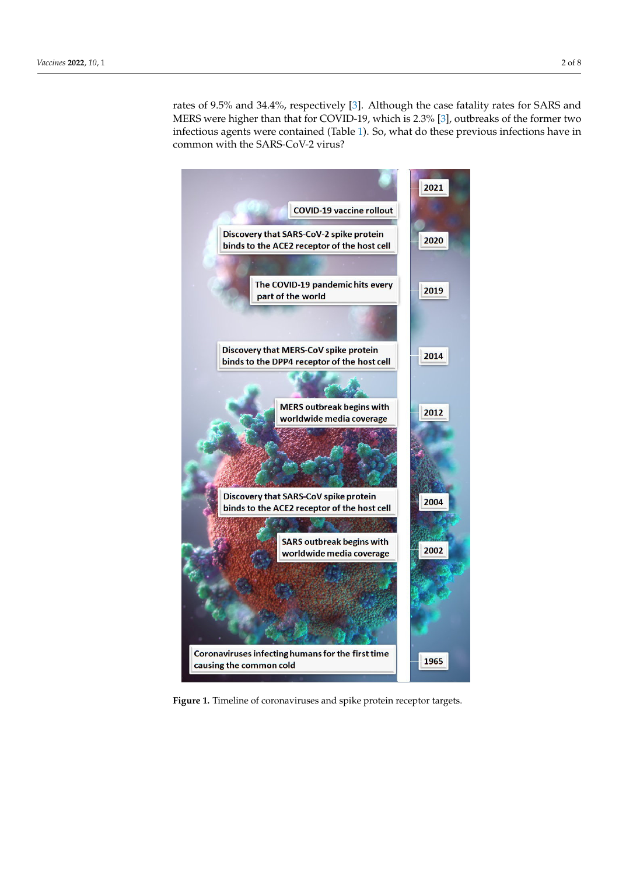rates of 9.5% and 34.4%, respectively [\[3\]](#page-6-2). Although the case fatality rates for SARS and MERS were higher than that for COVID-19, which is 2.3% [\[3\]](#page-6-2), outbreaks of the former two infectious agents were contained (Table [1\)](#page-2-0). So, what do these previous infections have in  $\frac{1}{2}$ common with the SARS-CoV-2 virus? common with the SARS-CoV-2 virus? rates of 9.5% and 34.4%, respectively [3]. Although the case factories for SARS and  $\sim$  $\frac{1}{1}$ . So, what do these previous interferences have infections  $\frac{1}{1}$ .

<span id="page-1-0"></span>

**Figure 1.** Timeline of coronaviruses and spike protein receptor targets**. Figure 1.** Timeline of coronaviruses and spike protein receptor targets.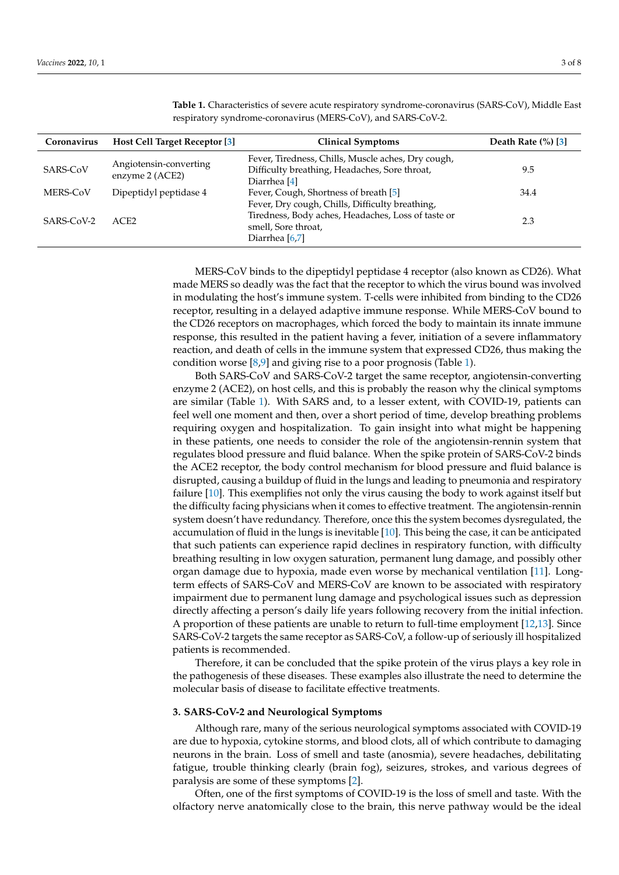| Coronavirus | <b>Host Cell Target Receptor [3]</b>      | <b>Clinical Symptoms</b>                                                                                                       | Death Rate $(\%)$ [3] |
|-------------|-------------------------------------------|--------------------------------------------------------------------------------------------------------------------------------|-----------------------|
| SARS-CoV    | Angiotensin-converting<br>enzyme 2 (ACE2) | Fever, Tiredness, Chills, Muscle aches, Dry cough,<br>Difficulty breathing, Headaches, Sore throat,<br>Diarrhea <sup>[4]</sup> | 9.5                   |
| MERS-CoV    | Dipeptidyl peptidase 4                    | Fever, Cough, Shortness of breath [5]<br>Fever, Dry cough, Chills, Difficulty breathing,                                       | 34.4                  |
| SARS-CoV-2  | ACE2                                      | Tiredness, Body aches, Headaches, Loss of taste or<br>smell, Sore throat,<br>Diarrhea [6,7]                                    | 2.3                   |

<span id="page-2-0"></span>**Table 1.** Characteristics of severe acute respiratory syndrome-coronavirus (SARS-CoV), Middle East respiratory syndrome-coronavirus (MERS-CoV), and SARS-CoV-2.

MERS-CoV binds to the dipeptidyl peptidase 4 receptor (also known as CD26). What made MERS so deadly was the fact that the receptor to which the virus bound was involved in modulating the host's immune system. T-cells were inhibited from binding to the CD26 receptor, resulting in a delayed adaptive immune response. While MERS-CoV bound to the CD26 receptors on macrophages, which forced the body to maintain its innate immune response, this resulted in the patient having a fever, initiation of a severe inflammatory reaction, and death of cells in the immune system that expressed CD26, thus making the condition worse  $[8,9]$  $[8,9]$  and giving rise to a poor prognosis (Table [1\)](#page-2-0).

Both SARS-CoV and SARS-CoV-2 target the same receptor, angiotensin-converting enzyme 2 (ACE2), on host cells, and this is probably the reason why the clinical symptoms are similar (Table [1\)](#page-2-0). With SARS and, to a lesser extent, with COVID-19, patients can feel well one moment and then, over a short period of time, develop breathing problems requiring oxygen and hospitalization. To gain insight into what might be happening in these patients, one needs to consider the role of the angiotensin-rennin system that regulates blood pressure and fluid balance. When the spike protein of SARS-CoV-2 binds the ACE2 receptor, the body control mechanism for blood pressure and fluid balance is disrupted, causing a buildup of fluid in the lungs and leading to pneumonia and respiratory failure [\[10\]](#page-6-9). This exemplifies not only the virus causing the body to work against itself but the difficulty facing physicians when it comes to effective treatment. The angiotensin-rennin system doesn't have redundancy. Therefore, once this the system becomes dysregulated, the accumulation of fluid in the lungs is inevitable [\[10\]](#page-6-9). This being the case, it can be anticipated that such patients can experience rapid declines in respiratory function, with difficulty breathing resulting in low oxygen saturation, permanent lung damage, and possibly other organ damage due to hypoxia, made even worse by mechanical ventilation [\[11\]](#page-6-10). Longterm effects of SARS-CoV and MERS-CoV are known to be associated with respiratory impairment due to permanent lung damage and psychological issues such as depression directly affecting a person's daily life years following recovery from the initial infection. A proportion of these patients are unable to return to full-time employment [\[12,](#page-6-11)[13\]](#page-6-12). Since SARS-CoV-2 targets the same receptor as SARS-CoV, a follow-up of seriously ill hospitalized patients is recommended.

Therefore, it can be concluded that the spike protein of the virus plays a key role in the pathogenesis of these diseases. These examples also illustrate the need to determine the molecular basis of disease to facilitate effective treatments.

#### **3. SARS-CoV-2 and Neurological Symptoms**

Although rare, many of the serious neurological symptoms associated with COVID-19 are due to hypoxia, cytokine storms, and blood clots, all of which contribute to damaging neurons in the brain. Loss of smell and taste (anosmia), severe headaches, debilitating fatigue, trouble thinking clearly (brain fog), seizures, strokes, and various degrees of paralysis are some of these symptoms [\[2\]](#page-6-1).

Often, one of the first symptoms of COVID-19 is the loss of smell and taste. With the olfactory nerve anatomically close to the brain, this nerve pathway would be the ideal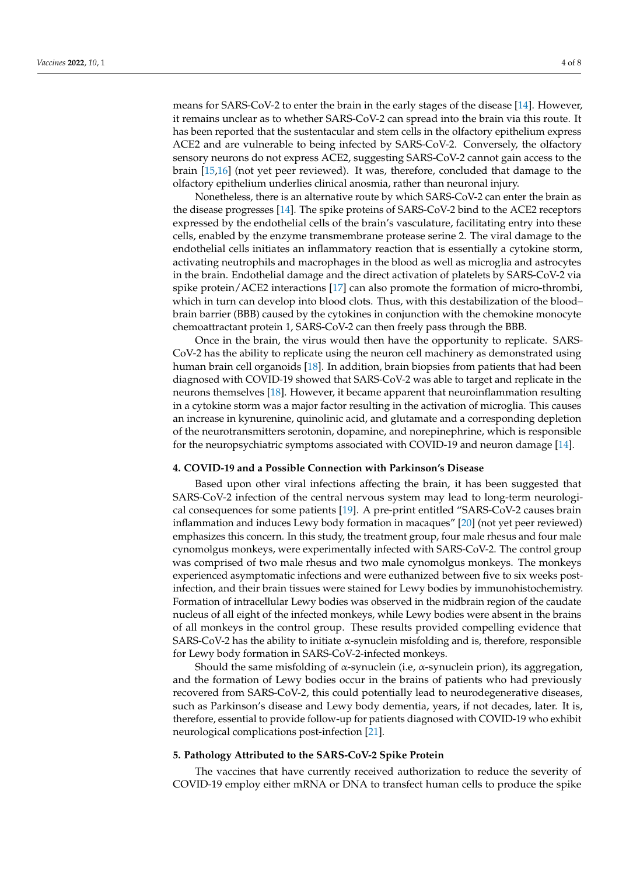means for SARS-CoV-2 to enter the brain in the early stages of the disease [\[14\]](#page-6-13). However, it remains unclear as to whether SARS-CoV-2 can spread into the brain via this route. It has been reported that the sustentacular and stem cells in the olfactory epithelium express ACE2 and are vulnerable to being infected by SARS-CoV-2. Conversely, the olfactory sensory neurons do not express ACE2, suggesting SARS-CoV-2 cannot gain access to the brain [\[15,](#page-6-14)[16\]](#page-6-15) (not yet peer reviewed). It was, therefore, concluded that damage to the olfactory epithelium underlies clinical anosmia, rather than neuronal injury.

Nonetheless, there is an alternative route by which SARS-CoV-2 can enter the brain as the disease progresses [\[14\]](#page-6-13). The spike proteins of SARS-CoV-2 bind to the ACE2 receptors expressed by the endothelial cells of the brain's vasculature, facilitating entry into these cells, enabled by the enzyme transmembrane protease serine 2. The viral damage to the endothelial cells initiates an inflammatory reaction that is essentially a cytokine storm, activating neutrophils and macrophages in the blood as well as microglia and astrocytes in the brain. Endothelial damage and the direct activation of platelets by SARS-CoV-2 via spike protein/ACE2 interactions [\[17\]](#page-6-16) can also promote the formation of micro-thrombi, which in turn can develop into blood clots. Thus, with this destabilization of the blood– brain barrier (BBB) caused by the cytokines in conjunction with the chemokine monocyte chemoattractant protein 1, SARS-CoV-2 can then freely pass through the BBB.

Once in the brain, the virus would then have the opportunity to replicate. SARS-CoV-2 has the ability to replicate using the neuron cell machinery as demonstrated using human brain cell organoids [\[18\]](#page-6-17). In addition, brain biopsies from patients that had been diagnosed with COVID-19 showed that SARS-CoV-2 was able to target and replicate in the neurons themselves [\[18\]](#page-6-17). However, it became apparent that neuroinflammation resulting in a cytokine storm was a major factor resulting in the activation of microglia. This causes an increase in kynurenine, quinolinic acid, and glutamate and a corresponding depletion of the neurotransmitters serotonin, dopamine, and norepinephrine, which is responsible for the neuropsychiatric symptoms associated with COVID-19 and neuron damage [\[14\]](#page-6-13).

#### **4. COVID-19 and a Possible Connection with Parkinson's Disease**

Based upon other viral infections affecting the brain, it has been suggested that SARS-CoV-2 infection of the central nervous system may lead to long-term neurological consequences for some patients [\[19\]](#page-6-18). A pre-print entitled "SARS-CoV-2 causes brain inflammation and induces Lewy body formation in macaques" [\[20\]](#page-6-19) (not yet peer reviewed) emphasizes this concern. In this study, the treatment group, four male rhesus and four male cynomolgus monkeys, were experimentally infected with SARS-CoV-2. The control group was comprised of two male rhesus and two male cynomolgus monkeys. The monkeys experienced asymptomatic infections and were euthanized between five to six weeks postinfection, and their brain tissues were stained for Lewy bodies by immunohistochemistry. Formation of intracellular Lewy bodies was observed in the midbrain region of the caudate nucleus of all eight of the infected monkeys, while Lewy bodies were absent in the brains of all monkeys in the control group. These results provided compelling evidence that SARS-CoV-2 has the ability to initiate α-synuclein misfolding and is, therefore, responsible for Lewy body formation in SARS-CoV-2-infected monkeys.

Should the same misfolding of  $\alpha$ -synuclein (i.e,  $\alpha$ -synuclein prion), its aggregation, and the formation of Lewy bodies occur in the brains of patients who had previously recovered from SARS-CoV-2, this could potentially lead to neurodegenerative diseases, such as Parkinson's disease and Lewy body dementia, years, if not decades, later. It is, therefore, essential to provide follow-up for patients diagnosed with COVID-19 who exhibit neurological complications post-infection [\[21\]](#page-6-20).

# **5. Pathology Attributed to the SARS-CoV-2 Spike Protein**

The vaccines that have currently received authorization to reduce the severity of COVID-19 employ either mRNA or DNA to transfect human cells to produce the spike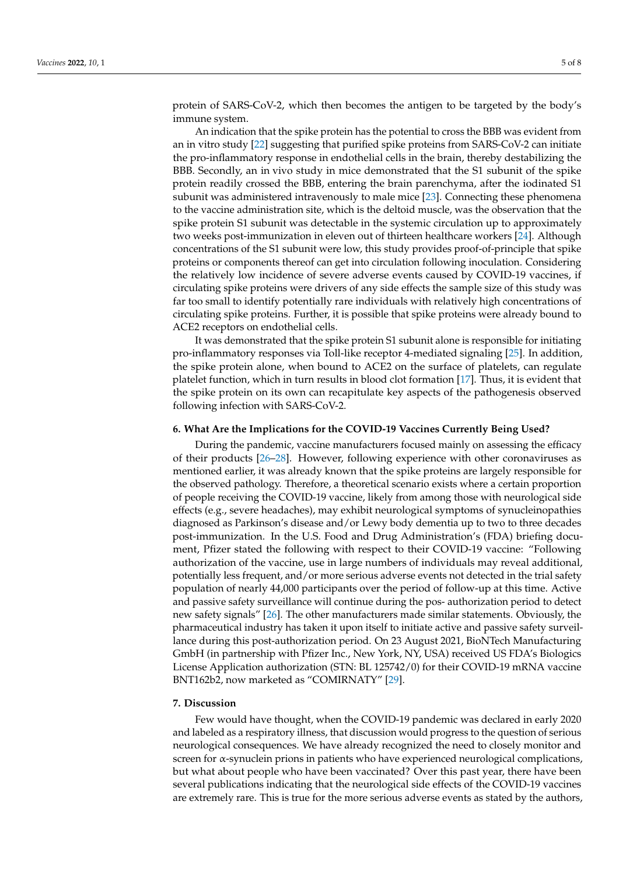protein of SARS-CoV-2, which then becomes the antigen to be targeted by the body's immune system.

An indication that the spike protein has the potential to cross the BBB was evident from an in vitro study [\[22\]](#page-6-21) suggesting that purified spike proteins from SARS-CoV-2 can initiate the pro-inflammatory response in endothelial cells in the brain, thereby destabilizing the BBB. Secondly, an in vivo study in mice demonstrated that the S1 subunit of the spike protein readily crossed the BBB, entering the brain parenchyma, after the iodinated S1 subunit was administered intravenously to male mice [\[23\]](#page-7-0). Connecting these phenomena to the vaccine administration site, which is the deltoid muscle, was the observation that the spike protein S1 subunit was detectable in the systemic circulation up to approximately two weeks post-immunization in eleven out of thirteen healthcare workers [\[24\]](#page-7-1). Although concentrations of the S1 subunit were low, this study provides proof-of-principle that spike proteins or components thereof can get into circulation following inoculation. Considering the relatively low incidence of severe adverse events caused by COVID-19 vaccines, if circulating spike proteins were drivers of any side effects the sample size of this study was far too small to identify potentially rare individuals with relatively high concentrations of circulating spike proteins. Further, it is possible that spike proteins were already bound to ACE2 receptors on endothelial cells.

It was demonstrated that the spike protein S1 subunit alone is responsible for initiating pro-inflammatory responses via Toll-like receptor 4-mediated signaling [\[25\]](#page-7-2). In addition, the spike protein alone, when bound to ACE2 on the surface of platelets, can regulate platelet function, which in turn results in blood clot formation [\[17\]](#page-6-16). Thus, it is evident that the spike protein on its own can recapitulate key aspects of the pathogenesis observed following infection with SARS-CoV-2.

## **6. What Are the Implications for the COVID-19 Vaccines Currently Being Used?**

During the pandemic, vaccine manufacturers focused mainly on assessing the efficacy of their products [\[26–](#page-7-3)[28\]](#page-7-4). However, following experience with other coronaviruses as mentioned earlier, it was already known that the spike proteins are largely responsible for the observed pathology. Therefore, a theoretical scenario exists where a certain proportion of people receiving the COVID-19 vaccine, likely from among those with neurological side effects (e.g., severe headaches), may exhibit neurological symptoms of synucleinopathies diagnosed as Parkinson's disease and/or Lewy body dementia up to two to three decades post-immunization. In the U.S. Food and Drug Administration's (FDA) briefing document, Pfizer stated the following with respect to their COVID-19 vaccine: "Following authorization of the vaccine, use in large numbers of individuals may reveal additional, potentially less frequent, and/or more serious adverse events not detected in the trial safety population of nearly 44,000 participants over the period of follow-up at this time. Active and passive safety surveillance will continue during the pos- authorization period to detect new safety signals" [\[26\]](#page-7-3). The other manufacturers made similar statements. Obviously, the pharmaceutical industry has taken it upon itself to initiate active and passive safety surveillance during this post-authorization period. On 23 August 2021, BioNTech Manufacturing GmbH (in partnership with Pfizer Inc., New York, NY, USA) received US FDA's Biologics License Application authorization (STN: BL 125742/0) for their COVID-19 mRNA vaccine BNT162b2, now marketed as "COMIRNATY" [\[29\]](#page-7-5).

# **7. Discussion**

Few would have thought, when the COVID-19 pandemic was declared in early 2020 and labeled as a respiratory illness, that discussion would progress to the question of serious neurological consequences. We have already recognized the need to closely monitor and screen for α-synuclein prions in patients who have experienced neurological complications, but what about people who have been vaccinated? Over this past year, there have been several publications indicating that the neurological side effects of the COVID-19 vaccines are extremely rare. This is true for the more serious adverse events as stated by the authors,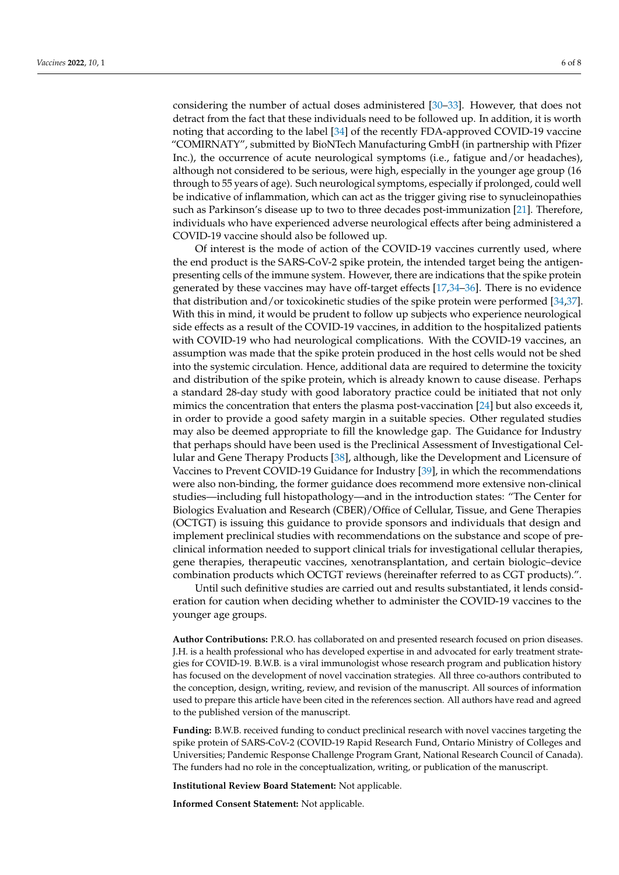considering the number of actual doses administered [\[30–](#page-7-6)[33\]](#page-7-7). However, that does not detract from the fact that these individuals need to be followed up. In addition, it is worth noting that according to the label [\[34\]](#page-7-8) of the recently FDA-approved COVID-19 vaccine "COMIRNATY", submitted by BioNTech Manufacturing GmbH (in partnership with Pfizer Inc.), the occurrence of acute neurological symptoms (i.e., fatigue and/or headaches), although not considered to be serious, were high, especially in the younger age group (16 through to 55 years of age). Such neurological symptoms, especially if prolonged, could well be indicative of inflammation, which can act as the trigger giving rise to synucleinopathies such as Parkinson's disease up to two to three decades post-immunization [\[21\]](#page-6-20). Therefore, individuals who have experienced adverse neurological effects after being administered a COVID-19 vaccine should also be followed up.

Of interest is the mode of action of the COVID-19 vaccines currently used, where the end product is the SARS-CoV-2 spike protein, the intended target being the antigenpresenting cells of the immune system. However, there are indications that the spike protein generated by these vaccines may have off-target effects [\[17](#page-6-16)[,34](#page-7-8)[–36\]](#page-7-9). There is no evidence that distribution and/or toxicokinetic studies of the spike protein were performed [\[34](#page-7-8)[,37\]](#page-7-10). With this in mind, it would be prudent to follow up subjects who experience neurological side effects as a result of the COVID-19 vaccines, in addition to the hospitalized patients with COVID-19 who had neurological complications. With the COVID-19 vaccines, an assumption was made that the spike protein produced in the host cells would not be shed into the systemic circulation. Hence, additional data are required to determine the toxicity and distribution of the spike protein, which is already known to cause disease. Perhaps a standard 28-day study with good laboratory practice could be initiated that not only mimics the concentration that enters the plasma post-vaccination [\[24\]](#page-7-1) but also exceeds it, in order to provide a good safety margin in a suitable species. Other regulated studies may also be deemed appropriate to fill the knowledge gap. The Guidance for Industry that perhaps should have been used is the Preclinical Assessment of Investigational Cellular and Gene Therapy Products [\[38\]](#page-7-11), although, like the Development and Licensure of Vaccines to Prevent COVID-19 Guidance for Industry [\[39\]](#page-7-12), in which the recommendations were also non-binding, the former guidance does recommend more extensive non-clinical studies—including full histopathology—and in the introduction states: "The Center for Biologics Evaluation and Research (CBER)/Office of Cellular, Tissue, and Gene Therapies (OCTGT) is issuing this guidance to provide sponsors and individuals that design and implement preclinical studies with recommendations on the substance and scope of preclinical information needed to support clinical trials for investigational cellular therapies, gene therapies, therapeutic vaccines, xenotransplantation, and certain biologic–device combination products which OCTGT reviews (hereinafter referred to as CGT products).".

Until such definitive studies are carried out and results substantiated, it lends consideration for caution when deciding whether to administer the COVID-19 vaccines to the younger age groups.

**Author Contributions:** P.R.O. has collaborated on and presented research focused on prion diseases. J.H. is a health professional who has developed expertise in and advocated for early treatment strategies for COVID-19. B.W.B. is a viral immunologist whose research program and publication history has focused on the development of novel vaccination strategies. All three co-authors contributed to the conception, design, writing, review, and revision of the manuscript. All sources of information used to prepare this article have been cited in the references section. All authors have read and agreed to the published version of the manuscript.

**Funding:** B.W.B. received funding to conduct preclinical research with novel vaccines targeting the spike protein of SARS-CoV-2 (COVID-19 Rapid Research Fund, Ontario Ministry of Colleges and Universities; Pandemic Response Challenge Program Grant, National Research Council of Canada). The funders had no role in the conceptualization, writing, or publication of the manuscript.

**Institutional Review Board Statement:** Not applicable.

**Informed Consent Statement:** Not applicable.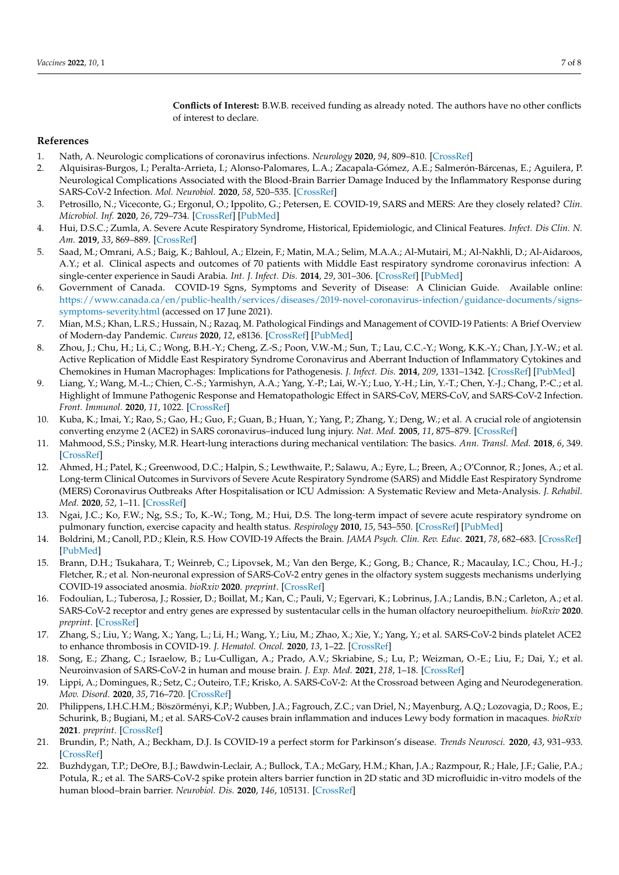**Conflicts of Interest:** B.W.B. received funding as already noted. The authors have no other conflicts of interest to declare.

### **References**

- <span id="page-6-0"></span>1. Nath, A. Neurologic complications of coronavirus infections. *Neurology* **2020**, *94*, 809–810. [\[CrossRef\]](http://doi.org/10.1212/WNL.0000000000009455)
- <span id="page-6-1"></span>2. Alquisiras-Burgos, I.; Peralta-Arrieta, I.; Alonso-Palomares, L.A.; Zacapala-Gómez, A.E.; Salmerón-Bárcenas, E.; Aguilera, P. Neurological Complications Associated with the Blood-Brain Barrier Damage Induced by the Inflammatory Response during SARS-CoV-2 Infection. *Mol. Neurobiol.* **2020**, *58*, 520–535. [\[CrossRef\]](http://doi.org/10.1007/s12035-020-02134-7)
- <span id="page-6-2"></span>3. Petrosillo, N.; Viceconte, G.; Ergonul, O.; Ippolito, G.; Petersen, E. COVID-19, SARS and MERS: Are they closely related? *Clin. Microbiol. Inf.* **2020**, *26*, 729–734. [\[CrossRef\]](http://doi.org/10.1016/j.cmi.2020.03.026) [\[PubMed\]](http://www.ncbi.nlm.nih.gov/pubmed/32234451)
- <span id="page-6-3"></span>4. Hui, D.S.C.; Zumla, A. Severe Acute Respiratory Syndrome, Historical, Epidemiologic, and Clinical Features. *Infect. Dis Clin. N. Am.* **2019**, *33*, 869–889. [\[CrossRef\]](http://doi.org/10.1016/j.idc.2019.07.001)
- <span id="page-6-4"></span>5. Saad, M.; Omrani, A.S.; Baig, K.; Bahloul, A.; Elzein, F.; Matin, M.A.; Selim, M.A.A.; Al-Mutairi, M.; Al-Nakhli, D.; Al-Aidaroos, A.Y.; et al. Clinical aspects and outcomes of 70 patients with Middle East respiratory syndrome coronavirus infection: A single-center experience in Saudi Arabia. *Int. J. Infect. Dis.* **2014**, *29*, 301–306. [\[CrossRef\]](http://doi.org/10.1016/j.ijid.2014.09.003) [\[PubMed\]](http://www.ncbi.nlm.nih.gov/pubmed/25303830)
- <span id="page-6-5"></span>6. Government of Canada. COVID-19 Sgns, Symptoms and Severity of Disease: A Clinician Guide. Available online: [https://www.canada.ca/en/public-health/services/diseases/2019-novel-coronavirus-infection/guidance-documents/signs](https://www.canada.ca/en/public-health/services/diseases/2019-novel-coronavirus-infection/guidance-documents/signs-symptoms-severity.html)[symptoms-severity.html](https://www.canada.ca/en/public-health/services/diseases/2019-novel-coronavirus-infection/guidance-documents/signs-symptoms-severity.html) (accessed on 17 June 2021).
- <span id="page-6-6"></span>7. Mian, M.S.; Khan, L.R.S.; Hussain, N.; Razaq, M. Pathological Findings and Management of COVID-19 Patients: A Brief Overview of Modern-day Pandemic. *Cureus* **2020**, *12*, e8136. [\[CrossRef\]](http://doi.org/10.7759/cureus.8136) [\[PubMed\]](http://www.ncbi.nlm.nih.gov/pubmed/32550056)
- <span id="page-6-7"></span>8. Zhou, J.; Chu, H.; Li, C.; Wong, B.H.-Y.; Cheng, Z.-S.; Poon, V.W.-M.; Sun, T.; Lau, C.C.-Y.; Wong, K.K.-Y.; Chan, J.Y.-W.; et al. Active Replication of Middle East Respiratory Syndrome Coronavirus and Aberrant Induction of Inflammatory Cytokines and Chemokines in Human Macrophages: Implications for Pathogenesis. *J. Infect. Dis.* **2014**, *209*, 1331–1342. [\[CrossRef\]](http://doi.org/10.1093/infdis/jit504) [\[PubMed\]](http://www.ncbi.nlm.nih.gov/pubmed/24065148)
- <span id="page-6-8"></span>9. Liang, Y.; Wang, M.-L.; Chien, C.-S.; Yarmishyn, A.A.; Yang, Y.-P.; Lai, W.-Y.; Luo, Y.-H.; Lin, Y.-T.; Chen, Y.-J.; Chang, P.-C.; et al. Highlight of Immune Pathogenic Response and Hematopathologic Effect in SARS-CoV, MERS-CoV, and SARS-CoV-2 Infection. *Front. Immunol.* **2020**, *11*, 1022. [\[CrossRef\]](http://doi.org/10.3389/fimmu.2020.01022)
- <span id="page-6-9"></span>10. Kuba, K.; Imai, Y.; Rao, S.; Gao, H.; Guo, F.; Guan, B.; Huan, Y.; Yang, P.; Zhang, Y.; Deng, W.; et al. A crucial role of angiotensin converting enzyme 2 (ACE2) in SARS coronavirus–induced lung injury. *Nat. Med.* **2005**, *11*, 875–879. [\[CrossRef\]](http://doi.org/10.1038/nm1267)
- <span id="page-6-10"></span>11. Mahmood, S.S.; Pinsky, M.R. Heart-lung interactions during mechanical ventilation: The basics. *Ann. Transl. Med.* **2018**, *6*, 349. [\[CrossRef\]](http://doi.org/10.21037/atm.2018.04.29)
- <span id="page-6-11"></span>12. Ahmed, H.; Patel, K.; Greenwood, D.C.; Halpin, S.; Lewthwaite, P.; Salawu, A.; Eyre, L.; Breen, A.; O'Connor, R.; Jones, A.; et al. Long-term Clinical Outcomes in Survivors of Severe Acute Respiratory Syndrome (SARS) and Middle East Respiratory Syndrome (MERS) Coronavirus Outbreaks After Hospitalisation or ICU Admission: A Systematic Review and Meta-Analysis. *J. Rehabil. Med.* **2020**, *52*, 1–11. [\[CrossRef\]](http://doi.org/10.2340/16501977-2694)
- <span id="page-6-12"></span>13. Ngai, J.C.; Ko, F.W.; Ng, S.S.; To, K.-W.; Tong, M.; Hui, D.S. The long-term impact of severe acute respiratory syndrome on pulmonary function, exercise capacity and health status. *Respirology* **2010**, *15*, 543–550. [\[CrossRef\]](http://doi.org/10.1111/j.1440-1843.2010.01720.x) [\[PubMed\]](http://www.ncbi.nlm.nih.gov/pubmed/20337995)
- <span id="page-6-13"></span>14. Boldrini, M.; Canoll, P.D.; Klein, R.S. How COVID-19 Affects the Brain. *JAMA Psych. Clin. Rev. Educ.* **2021**, *78*, 682–683. [\[CrossRef\]](http://doi.org/10.1001/jamapsychiatry.2021.0500) [\[PubMed\]](http://www.ncbi.nlm.nih.gov/pubmed/33769431)
- <span id="page-6-14"></span>15. Brann, D.H.; Tsukahara, T.; Weinreb, C.; Lipovsek, M.; Van den Berge, K.; Gong, B.; Chance, R.; Macaulay, I.C.; Chou, H.-J.; Fletcher, R.; et al. Non-neuronal expression of SARS-CoV-2 entry genes in the olfactory system suggests mechanisms underlying COVID-19 associated anosmia. *bioRxiv* **2020**. *preprint*. [\[CrossRef\]](http://doi.org/10.1126/sciadv.abc5801)
- <span id="page-6-15"></span>16. Fodoulian, L.; Tuberosa, J.; Rossier, D.; Boillat, M.; Kan, C.; Pauli, V.; Egervari, K.; Lobrinus, J.A.; Landis, B.N.; Carleton, A.; et al. SARS-CoV-2 receptor and entry genes are expressed by sustentacular cells in the human olfactory neuroepithelium. *bioRxiv* **2020**. *preprint*. [\[CrossRef\]](http://doi.org/10.1101/2020.03.31.013268)
- <span id="page-6-16"></span>17. Zhang, S.; Liu, Y.; Wang, X.; Yang, L.; Li, H.; Wang, Y.; Liu, M.; Zhao, X.; Xie, Y.; Yang, Y.; et al. SARS-CoV-2 binds platelet ACE2 to enhance thrombosis in COVID-19. *J. Hematol. Oncol.* **2020**, *13*, 1–22. [\[CrossRef\]](http://doi.org/10.1186/s13045-020-00954-7)
- <span id="page-6-17"></span>18. Song, E.; Zhang, C.; Israelow, B.; Lu-Culligan, A.; Prado, A.V.; Skriabine, S.; Lu, P.; Weizman, O.-E.; Liu, F.; Dai, Y.; et al. Neuroinvasion of SARS-CoV-2 in human and mouse brain. *J. Exp. Med.* **2021**, *218*, 1–18. [\[CrossRef\]](http://doi.org/10.1084/jem.20202135)
- <span id="page-6-18"></span>19. Lippi, A.; Domingues, R.; Setz, C.; Outeiro, T.F.; Krisko, A. SARS-CoV-2: At the Crossroad between Aging and Neurodegeneration. *Mov. Disord.* **2020**, *35*, 716–720. [\[CrossRef\]](http://doi.org/10.1002/mds.28084)
- <span id="page-6-19"></span>20. Philippens, I.H.C.H.M.; Böszörményi, K.P.; Wubben, J.A.; Fagrouch, Z.C.; van Driel, N.; Mayenburg, A.Q.; Lozovagia, D.; Roos, E.; Schurink, B.; Bugiani, M.; et al. SARS-CoV-2 causes brain inflammation and induces Lewy body formation in macaques. *bioRxiv* **2021**. *preprint*. [\[CrossRef\]](http://doi.org/10.1101/2021.02.23.432474)
- <span id="page-6-20"></span>21. Brundin, P.; Nath, A.; Beckham, D.J. Is COVID-19 a perfect storm for Parkinson's disease. *Trends Neurosci.* **2020**, *43*, 931–933. [\[CrossRef\]](http://doi.org/10.1016/j.tins.2020.10.009)
- <span id="page-6-21"></span>22. Buzhdygan, T.P.; DeOre, B.J.; Bawdwin-Leclair, A.; Bullock, T.A.; McGary, H.M.; Khan, J.A.; Razmpour, R.; Hale, J.F.; Galie, P.A.; Potula, R.; et al. The SARS-CoV-2 spike protein alters barrier function in 2D static and 3D microfluidic in-vitro models of the human blood–brain barrier. *Neurobiol. Dis.* **2020**, *146*, 105131. [\[CrossRef\]](http://doi.org/10.1016/j.nbd.2020.105131)